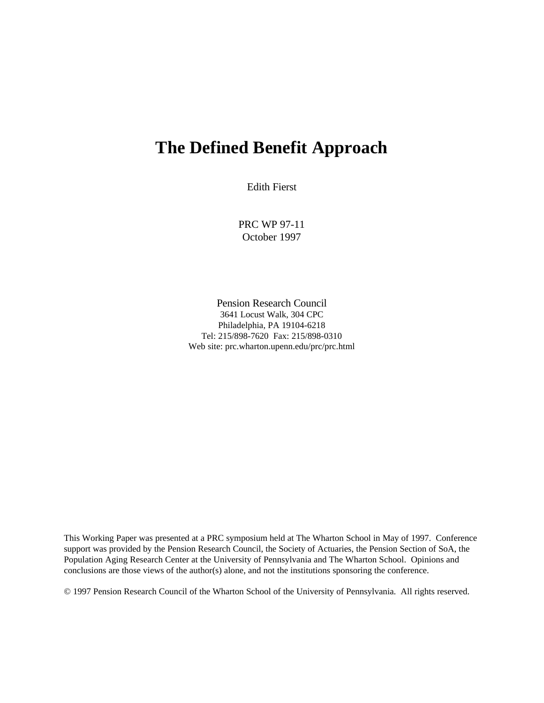# **The Defined Benefit Approach**

Edith Fierst

PRC WP 97-11 October 1997

Pension Research Council 3641 Locust Walk, 304 CPC Philadelphia, PA 19104-6218 Tel: 215/898-7620 Fax: 215/898-0310 Web site: prc.wharton.upenn.edu/prc/prc.html

This Working Paper was presented at a PRC symposium held at The Wharton School in May of 1997. Conference support was provided by the Pension Research Council, the Society of Actuaries, the Pension Section of SoA, the Population Aging Research Center at the University of Pennsylvania and The Wharton School. Opinions and conclusions are those views of the author(s) alone, and not the institutions sponsoring the conference.

© 1997 Pension Research Council of the Wharton School of the University of Pennsylvania. All rights reserved.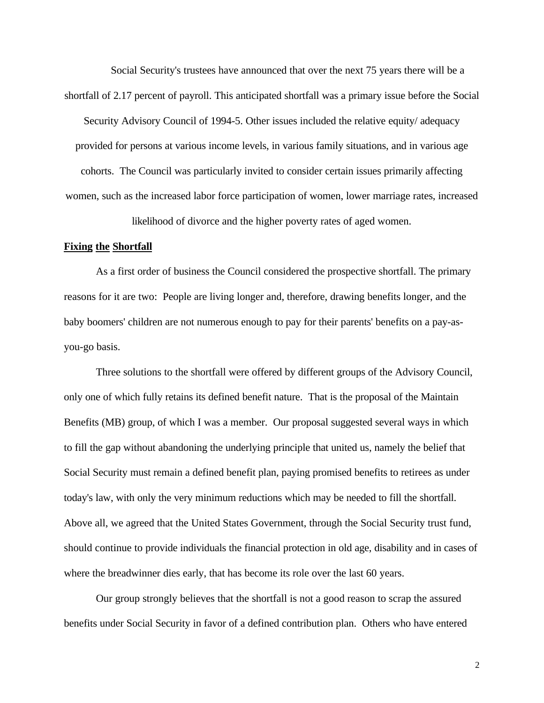Social Security's trustees have announced that over the next 75 years there will be a shortfall of 2.17 percent of payroll. This anticipated shortfall was a primary issue before the Social Security Advisory Council of 1994-5. Other issues included the relative equity/ adequacy

provided for persons at various income levels, in various family situations, and in various age cohorts. The Council was particularly invited to consider certain issues primarily affecting women, such as the increased labor force participation of women, lower marriage rates, increased

likelihood of divorce and the higher poverty rates of aged women.

#### **Fixing the Shortfall**

As a first order of business the Council considered the prospective shortfall. The primary reasons for it are two: People are living longer and, therefore, drawing benefits longer, and the baby boomers' children are not numerous enough to pay for their parents' benefits on a pay-asyou-go basis.

Three solutions to the shortfall were offered by different groups of the Advisory Council, only one of which fully retains its defined benefit nature. That is the proposal of the Maintain Benefits (MB) group, of which I was a member. Our proposal suggested several ways in which to fill the gap without abandoning the underlying principle that united us, namely the belief that Social Security must remain a defined benefit plan, paying promised benefits to retirees as under today's law, with only the very minimum reductions which may be needed to fill the shortfall. Above all, we agreed that the United States Government, through the Social Security trust fund, should continue to provide individuals the financial protection in old age, disability and in cases of where the breadwinner dies early, that has become its role over the last 60 years.

Our group strongly believes that the shortfall is not a good reason to scrap the assured benefits under Social Security in favor of a defined contribution plan. Others who have entered

2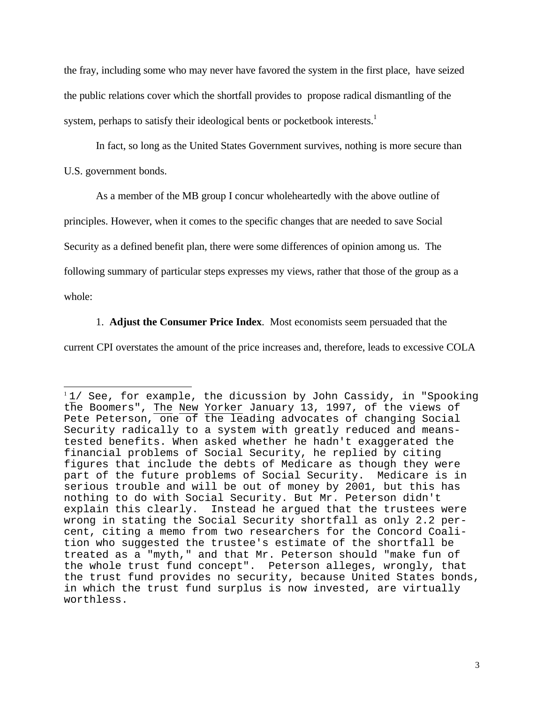the fray, including some who may never have favored the system in the first place, have seized the public relations cover which the shortfall provides to propose radical dismantling of the system, perhaps to satisfy their ideological bents or pocketbook interests.<sup>1</sup>

In fact, so long as the United States Government survives, nothing is more secure than

U.S. government bonds.

As a member of the MB group I concur wholeheartedly with the above outline of

principles. However, when it comes to the specific changes that are needed to save Social

Security as a defined benefit plan, there were some differences of opinion among us. The

following summary of particular steps expresses my views, rather that those of the group as a

whole:

 $\overline{a}$ 

### 1. **Adjust the Consumer Price Index**. Most economists seem persuaded that the

current CPI overstates the amount of the price increases and, therefore, leads to excessive COLA

 $11/$  See, for example, the dicussion by John Cassidy, in "Spooking the Boomers", The New Yorker January 13, 1997, of the views of Pete Peterson, one of the leading advocates of changing Social Security radically to a system with greatly reduced and meanstested benefits. When asked whether he hadn't exaggerated the financial problems of Social Security, he replied by citing figures that include the debts of Medicare as though they were part of the future problems of Social Security. Medicare is in serious trouble and will be out of money by 2001, but this has nothing to do with Social Security. But Mr. Peterson didn't explain this clearly. Instead he argued that the trustees were wrong in stating the Social Security shortfall as only 2.2 percent, citing a memo from two researchers for the Concord Coalition who suggested the trustee's estimate of the shortfall be treated as a "myth," and that Mr. Peterson should "make fun of the whole trust fund concept". Peterson alleges, wrongly, that the trust fund provides no security, because United States bonds, in which the trust fund surplus is now invested, are virtually worthless.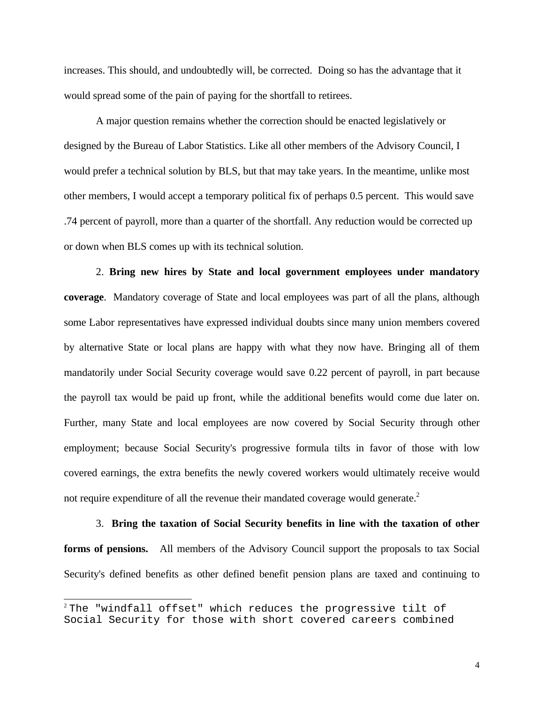increases. This should, and undoubtedly will, be corrected. Doing so has the advantage that it would spread some of the pain of paying for the shortfall to retirees.

A major question remains whether the correction should be enacted legislatively or designed by the Bureau of Labor Statistics. Like all other members of the Advisory Council, I would prefer a technical solution by BLS, but that may take years. In the meantime, unlike most other members, I would accept a temporary political fix of perhaps 0.5 percent. This would save .74 percent of payroll, more than a quarter of the shortfall. Any reduction would be corrected up or down when BLS comes up with its technical solution.

2. **Bring new hires by State and local government employees under mandatory coverage**. Mandatory coverage of State and local employees was part of all the plans, although some Labor representatives have expressed individual doubts since many union members covered by alternative State or local plans are happy with what they now have. Bringing all of them mandatorily under Social Security coverage would save 0.22 percent of payroll, in part because the payroll tax would be paid up front, while the additional benefits would come due later on. Further, many State and local employees are now covered by Social Security through other employment; because Social Security's progressive formula tilts in favor of those with low covered earnings, the extra benefits the newly covered workers would ultimately receive would not require expenditure of all the revenue their mandated coverage would generate.<sup>2</sup>

3. **Bring the taxation of Social Security benefits in line with the taxation of other forms of pensions.** All members of the Advisory Council support the proposals to tax Social Security's defined benefits as other defined benefit pension plans are taxed and continuing to

 $\overline{a}$ 

 $2$  The "windfall offset" which reduces the progressive tilt of Social Security for those with short covered careers combined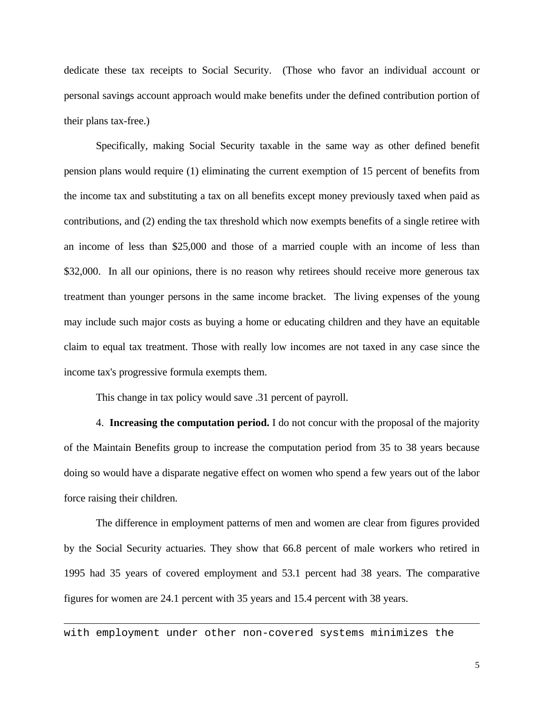dedicate these tax receipts to Social Security. (Those who favor an individual account or personal savings account approach would make benefits under the defined contribution portion of their plans tax-free.)

Specifically, making Social Security taxable in the same way as other defined benefit pension plans would require (1) eliminating the current exemption of 15 percent of benefits from the income tax and substituting a tax on all benefits except money previously taxed when paid as contributions, and (2) ending the tax threshold which now exempts benefits of a single retiree with an income of less than \$25,000 and those of a married couple with an income of less than \$32,000. In all our opinions, there is no reason why retirees should receive more generous tax treatment than younger persons in the same income bracket. The living expenses of the young may include such major costs as buying a home or educating children and they have an equitable claim to equal tax treatment. Those with really low incomes are not taxed in any case since the income tax's progressive formula exempts them.

This change in tax policy would save .31 percent of payroll.

4. **Increasing the computation period.** I do not concur with the proposal of the majority of the Maintain Benefits group to increase the computation period from 35 to 38 years because doing so would have a disparate negative effect on women who spend a few years out of the labor force raising their children.

The difference in employment patterns of men and women are clear from figures provided by the Social Security actuaries. They show that 66.8 percent of male workers who retired in 1995 had 35 years of covered employment and 53.1 percent had 38 years. The comparative figures for women are 24.1 percent with 35 years and 15.4 percent with 38 years.

with employment under other non-covered systems minimizes the

 $\overline{a}$ 

5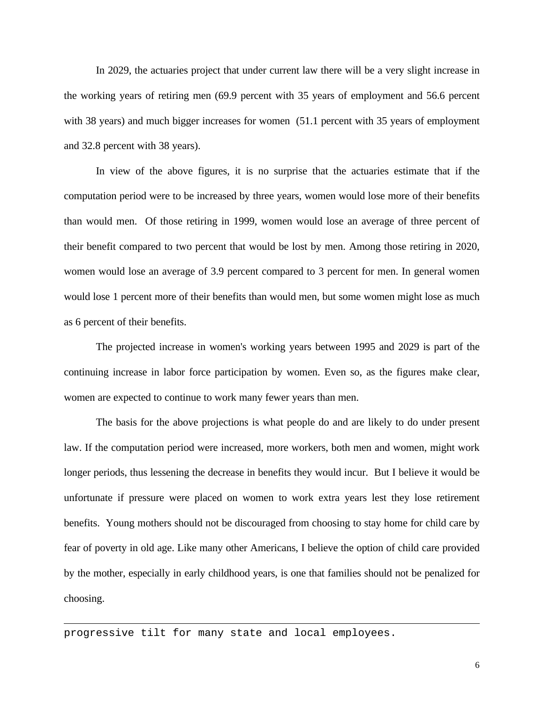In 2029, the actuaries project that under current law there will be a very slight increase in the working years of retiring men (69.9 percent with 35 years of employment and 56.6 percent with 38 years) and much bigger increases for women (51.1 percent with 35 years of employment and 32.8 percent with 38 years).

In view of the above figures, it is no surprise that the actuaries estimate that if the computation period were to be increased by three years, women would lose more of their benefits than would men. Of those retiring in 1999, women would lose an average of three percent of their benefit compared to two percent that would be lost by men. Among those retiring in 2020, women would lose an average of 3.9 percent compared to 3 percent for men. In general women would lose 1 percent more of their benefits than would men, but some women might lose as much as 6 percent of their benefits.

The projected increase in women's working years between 1995 and 2029 is part of the continuing increase in labor force participation by women. Even so, as the figures make clear, women are expected to continue to work many fewer years than men.

The basis for the above projections is what people do and are likely to do under present law. If the computation period were increased, more workers, both men and women, might work longer periods, thus lessening the decrease in benefits they would incur. But I believe it would be unfortunate if pressure were placed on women to work extra years lest they lose retirement benefits. Young mothers should not be discouraged from choosing to stay home for child care by fear of poverty in old age. Like many other Americans, I believe the option of child care provided by the mother, especially in early childhood years, is one that families should not be penalized for choosing.

progressive tilt for many state and local employees.

 $\overline{a}$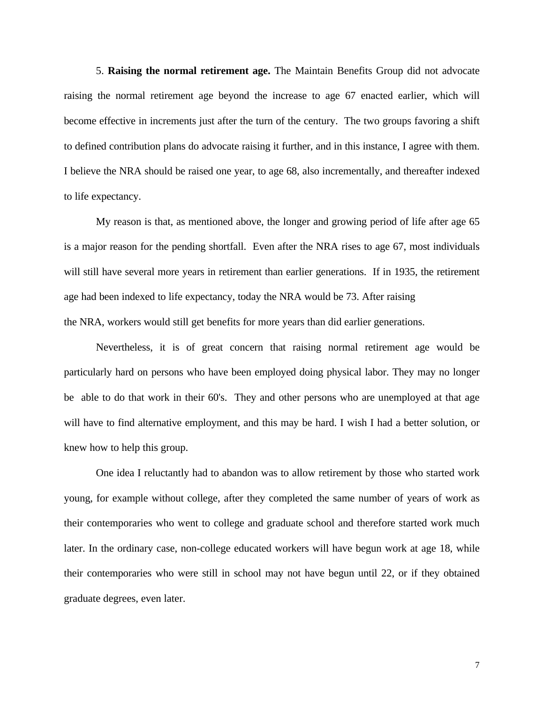5. **Raising the normal retirement age.** The Maintain Benefits Group did not advocate raising the normal retirement age beyond the increase to age 67 enacted earlier, which will become effective in increments just after the turn of the century. The two groups favoring a shift to defined contribution plans do advocate raising it further, and in this instance, I agree with them. I believe the NRA should be raised one year, to age 68, also incrementally, and thereafter indexed to life expectancy.

My reason is that, as mentioned above, the longer and growing period of life after age 65 is a major reason for the pending shortfall. Even after the NRA rises to age 67, most individuals will still have several more years in retirement than earlier generations. If in 1935, the retirement age had been indexed to life expectancy, today the NRA would be 73. After raising the NRA, workers would still get benefits for more years than did earlier generations.

Nevertheless, it is of great concern that raising normal retirement age would be particularly hard on persons who have been employed doing physical labor. They may no longer be able to do that work in their 60's. They and other persons who are unemployed at that age will have to find alternative employment, and this may be hard. I wish I had a better solution, or knew how to help this group.

One idea I reluctantly had to abandon was to allow retirement by those who started work young, for example without college, after they completed the same number of years of work as their contemporaries who went to college and graduate school and therefore started work much later. In the ordinary case, non-college educated workers will have begun work at age 18, while their contemporaries who were still in school may not have begun until 22, or if they obtained graduate degrees, even later.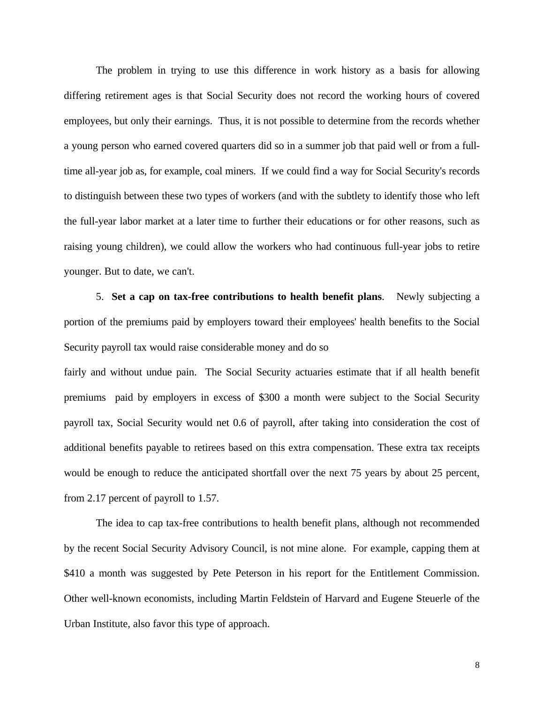The problem in trying to use this difference in work history as a basis for allowing differing retirement ages is that Social Security does not record the working hours of covered employees, but only their earnings. Thus, it is not possible to determine from the records whether a young person who earned covered quarters did so in a summer job that paid well or from a fulltime all-year job as, for example, coal miners. If we could find a way for Social Security's records to distinguish between these two types of workers (and with the subtlety to identify those who left the full-year labor market at a later time to further their educations or for other reasons, such as raising young children), we could allow the workers who had continuous full-year jobs to retire younger. But to date, we can't.

5. **Set a cap on tax-free contributions to health benefit plans**. Newly subjecting a portion of the premiums paid by employers toward their employees' health benefits to the Social Security payroll tax would raise considerable money and do so

fairly and without undue pain. The Social Security actuaries estimate that if all health benefit premiums paid by employers in excess of \$300 a month were subject to the Social Security payroll tax, Social Security would net 0.6 of payroll, after taking into consideration the cost of additional benefits payable to retirees based on this extra compensation. These extra tax receipts would be enough to reduce the anticipated shortfall over the next 75 years by about 25 percent, from 2.17 percent of payroll to 1.57.

The idea to cap tax-free contributions to health benefit plans, although not recommended by the recent Social Security Advisory Council, is not mine alone. For example, capping them at \$410 a month was suggested by Pete Peterson in his report for the Entitlement Commission. Other well-known economists, including Martin Feldstein of Harvard and Eugene Steuerle of the Urban Institute, also favor this type of approach.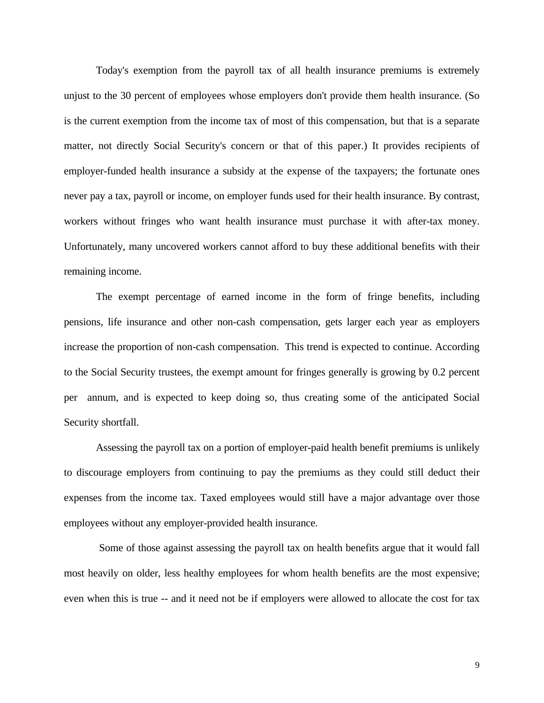Today's exemption from the payroll tax of all health insurance premiums is extremely unjust to the 30 percent of employees whose employers don't provide them health insurance. (So is the current exemption from the income tax of most of this compensation, but that is a separate matter, not directly Social Security's concern or that of this paper.) It provides recipients of employer-funded health insurance a subsidy at the expense of the taxpayers; the fortunate ones never pay a tax, payroll or income, on employer funds used for their health insurance. By contrast, workers without fringes who want health insurance must purchase it with after-tax money. Unfortunately, many uncovered workers cannot afford to buy these additional benefits with their remaining income.

The exempt percentage of earned income in the form of fringe benefits, including pensions, life insurance and other non-cash compensation, gets larger each year as employers increase the proportion of non-cash compensation. This trend is expected to continue. According to the Social Security trustees, the exempt amount for fringes generally is growing by 0.2 percent per annum, and is expected to keep doing so, thus creating some of the anticipated Social Security shortfall.

Assessing the payroll tax on a portion of employer-paid health benefit premiums is unlikely to discourage employers from continuing to pay the premiums as they could still deduct their expenses from the income tax. Taxed employees would still have a major advantage over those employees without any employer-provided health insurance.

Some of those against assessing the payroll tax on health benefits argue that it would fall most heavily on older, less healthy employees for whom health benefits are the most expensive; even when this is true -- and it need not be if employers were allowed to allocate the cost for tax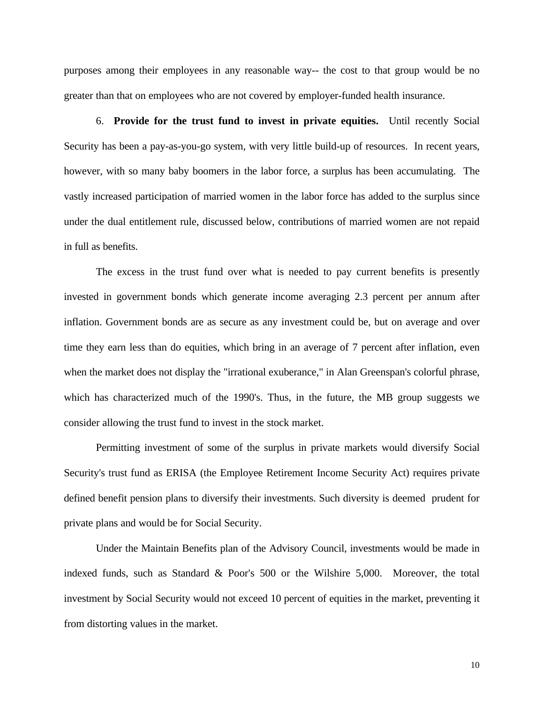purposes among their employees in any reasonable way-- the cost to that group would be no greater than that on employees who are not covered by employer-funded health insurance.

6. **Provide for the trust fund to invest in private equities.** Until recently Social Security has been a pay-as-you-go system, with very little build-up of resources. In recent years, however, with so many baby boomers in the labor force, a surplus has been accumulating. The vastly increased participation of married women in the labor force has added to the surplus since under the dual entitlement rule, discussed below, contributions of married women are not repaid in full as benefits.

The excess in the trust fund over what is needed to pay current benefits is presently invested in government bonds which generate income averaging 2.3 percent per annum after inflation. Government bonds are as secure as any investment could be, but on average and over time they earn less than do equities, which bring in an average of 7 percent after inflation, even when the market does not display the "irrational exuberance," in Alan Greenspan's colorful phrase, which has characterized much of the 1990's. Thus, in the future, the MB group suggests we consider allowing the trust fund to invest in the stock market.

Permitting investment of some of the surplus in private markets would diversify Social Security's trust fund as ERISA (the Employee Retirement Income Security Act) requires private defined benefit pension plans to diversify their investments. Such diversity is deemed prudent for private plans and would be for Social Security.

Under the Maintain Benefits plan of the Advisory Council, investments would be made in indexed funds, such as Standard & Poor's 500 or the Wilshire 5,000. Moreover, the total investment by Social Security would not exceed 10 percent of equities in the market, preventing it from distorting values in the market.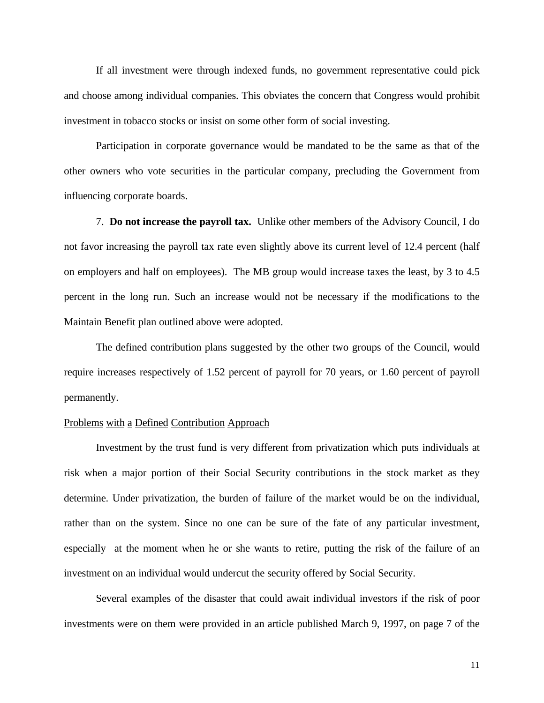If all investment were through indexed funds, no government representative could pick and choose among individual companies. This obviates the concern that Congress would prohibit investment in tobacco stocks or insist on some other form of social investing.

Participation in corporate governance would be mandated to be the same as that of the other owners who vote securities in the particular company, precluding the Government from influencing corporate boards.

7. **Do not increase the payroll tax.** Unlike other members of the Advisory Council, I do not favor increasing the payroll tax rate even slightly above its current level of 12.4 percent (half on employers and half on employees). The MB group would increase taxes the least, by 3 to 4.5 percent in the long run. Such an increase would not be necessary if the modifications to the Maintain Benefit plan outlined above were adopted.

The defined contribution plans suggested by the other two groups of the Council, would require increases respectively of 1.52 percent of payroll for 70 years, or 1.60 percent of payroll permanently.

#### Problems with a Defined Contribution Approach

Investment by the trust fund is very different from privatization which puts individuals at risk when a major portion of their Social Security contributions in the stock market as they determine. Under privatization, the burden of failure of the market would be on the individual, rather than on the system. Since no one can be sure of the fate of any particular investment, especially at the moment when he or she wants to retire, putting the risk of the failure of an investment on an individual would undercut the security offered by Social Security.

Several examples of the disaster that could await individual investors if the risk of poor investments were on them were provided in an article published March 9, 1997, on page 7 of the

11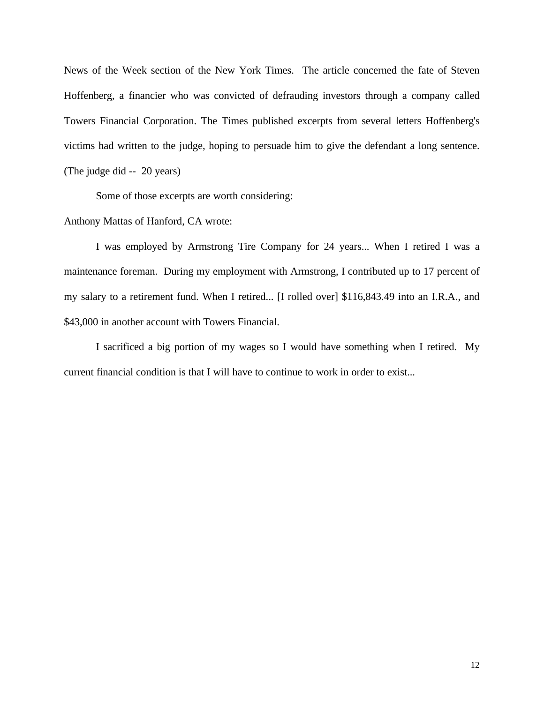News of the Week section of the New York Times. The article concerned the fate of Steven Hoffenberg, a financier who was convicted of defrauding investors through a company called Towers Financial Corporation. The Times published excerpts from several letters Hoffenberg's victims had written to the judge, hoping to persuade him to give the defendant a long sentence. (The judge did -- 20 years)

Some of those excerpts are worth considering:

## Anthony Mattas of Hanford, CA wrote:

I was employed by Armstrong Tire Company for 24 years... When I retired I was a maintenance foreman. During my employment with Armstrong, I contributed up to 17 percent of my salary to a retirement fund. When I retired... [I rolled over] \$116,843.49 into an I.R.A., and \$43,000 in another account with Towers Financial.

I sacrificed a big portion of my wages so I would have something when I retired. My current financial condition is that I will have to continue to work in order to exist...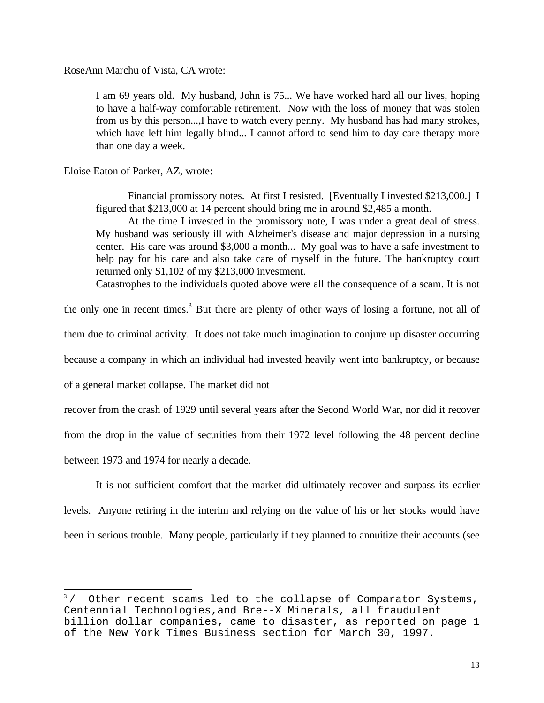RoseAnn Marchu of Vista, CA wrote:

I am 69 years old. My husband, John is 75... We have worked hard all our lives, hoping to have a half-way comfortable retirement. Now with the loss of money that was stolen from us by this person...,I have to watch every penny. My husband has had many strokes, which have left him legally blind... I cannot afford to send him to day care therapy more than one day a week.

Eloise Eaton of Parker, AZ, wrote:

Financial promissory notes. At first I resisted. [Eventually I invested \$213,000.] I figured that \$213,000 at 14 percent should bring me in around \$2,485 a month.

At the time I invested in the promissory note, I was under a great deal of stress. My husband was seriously ill with Alzheimer's disease and major depression in a nursing center. His care was around \$3,000 a month... My goal was to have a safe investment to help pay for his care and also take care of myself in the future. The bankruptcy court returned only \$1,102 of my \$213,000 investment.

Catastrophes to the individuals quoted above were all the consequence of a scam. It is not

the only one in recent times.<sup>3</sup> But there are plenty of other ways of losing a fortune, not all of

them due to criminal activity. It does not take much imagination to conjure up disaster occurring

because a company in which an individual had invested heavily went into bankruptcy, or because

of a general market collapse. The market did not

recover from the crash of 1929 until several years after the Second World War, nor did it recover

from the drop in the value of securities from their 1972 level following the 48 percent decline

between 1973 and 1974 for nearly a decade.

 $\overline{a}$ 

It is not sufficient comfort that the market did ultimately recover and surpass its earlier levels. Anyone retiring in the interim and relying on the value of his or her stocks would have been in serious trouble. Many people, particularly if they planned to annuitize their accounts (see

 $3/$  Other recent scams led to the collapse of Comparator Systems, Centennial Technologies,and Bre--X Minerals, all fraudulent billion dollar companies, came to disaster, as reported on page 1 of the New York Times Business section for March 30, 1997.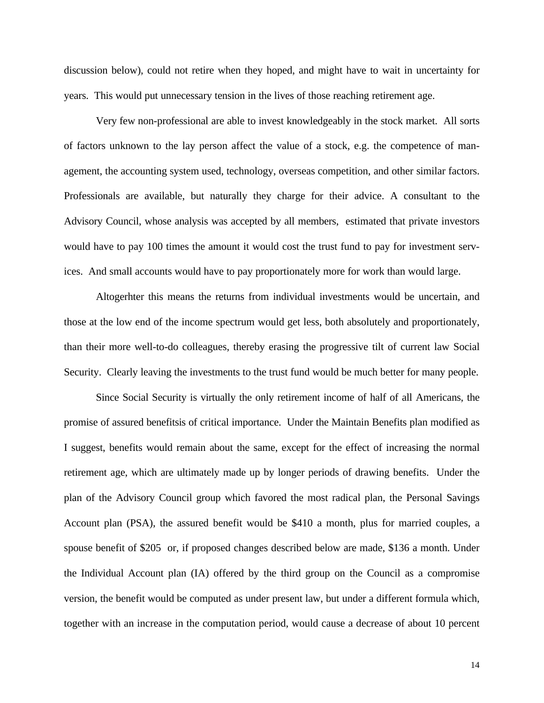discussion below), could not retire when they hoped, and might have to wait in uncertainty for years. This would put unnecessary tension in the lives of those reaching retirement age.

Very few non-professional are able to invest knowledgeably in the stock market. All sorts of factors unknown to the lay person affect the value of a stock, e.g. the competence of management, the accounting system used, technology, overseas competition, and other similar factors. Professionals are available, but naturally they charge for their advice. A consultant to the Advisory Council, whose analysis was accepted by all members, estimated that private investors would have to pay 100 times the amount it would cost the trust fund to pay for investment services. And small accounts would have to pay proportionately more for work than would large.

Altogerhter this means the returns from individual investments would be uncertain, and those at the low end of the income spectrum would get less, both absolutely and proportionately, than their more well-to-do colleagues, thereby erasing the progressive tilt of current law Social Security. Clearly leaving the investments to the trust fund would be much better for many people.

Since Social Security is virtually the only retirement income of half of all Americans, the promise of assured benefitsis of critical importance. Under the Maintain Benefits plan modified as I suggest, benefits would remain about the same, except for the effect of increasing the normal retirement age, which are ultimately made up by longer periods of drawing benefits. Under the plan of the Advisory Council group which favored the most radical plan, the Personal Savings Account plan (PSA), the assured benefit would be \$410 a month, plus for married couples, a spouse benefit of \$205 or, if proposed changes described below are made, \$136 a month. Under the Individual Account plan (IA) offered by the third group on the Council as a compromise version, the benefit would be computed as under present law, but under a different formula which, together with an increase in the computation period, would cause a decrease of about 10 percent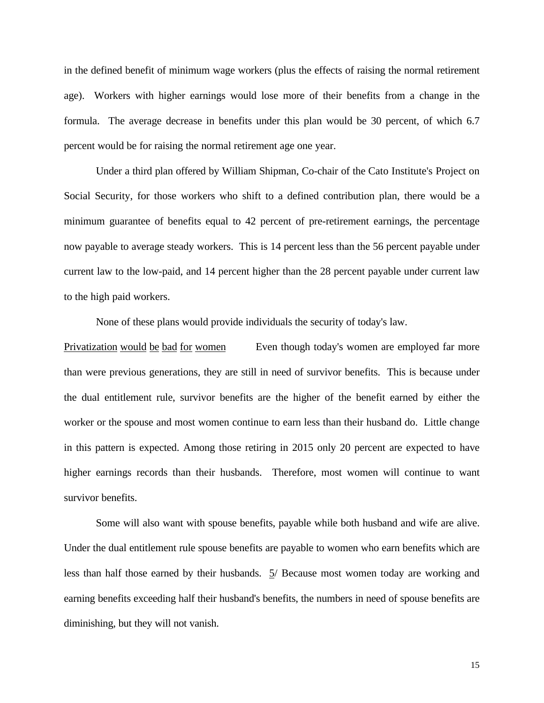in the defined benefit of minimum wage workers (plus the effects of raising the normal retirement age). Workers with higher earnings would lose more of their benefits from a change in the formula. The average decrease in benefits under this plan would be 30 percent, of which 6.7 percent would be for raising the normal retirement age one year.

Under a third plan offered by William Shipman, Co-chair of the Cato Institute's Project on Social Security, for those workers who shift to a defined contribution plan, there would be a minimum guarantee of benefits equal to 42 percent of pre-retirement earnings, the percentage now payable to average steady workers. This is 14 percent less than the 56 percent payable under current law to the low-paid, and 14 percent higher than the 28 percent payable under current law to the high paid workers.

None of these plans would provide individuals the security of today's law.

Privatization would be bad for women Even though today's women are employed far more than were previous generations, they are still in need of survivor benefits. This is because under the dual entitlement rule, survivor benefits are the higher of the benefit earned by either the worker or the spouse and most women continue to earn less than their husband do. Little change in this pattern is expected. Among those retiring in 2015 only 20 percent are expected to have higher earnings records than their husbands. Therefore, most women will continue to want survivor benefits.

Some will also want with spouse benefits, payable while both husband and wife are alive. Under the dual entitlement rule spouse benefits are payable to women who earn benefits which are less than half those earned by their husbands. 5/ Because most women today are working and earning benefits exceeding half their husband's benefits, the numbers in need of spouse benefits are diminishing, but they will not vanish.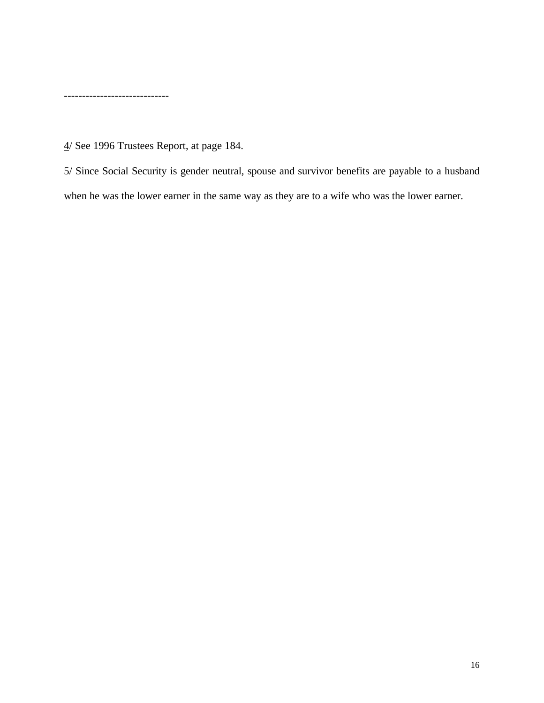-----------------------------

4/ See 1996 Trustees Report, at page 184.

5/ Since Social Security is gender neutral, spouse and survivor benefits are payable to a husband when he was the lower earner in the same way as they are to a wife who was the lower earner.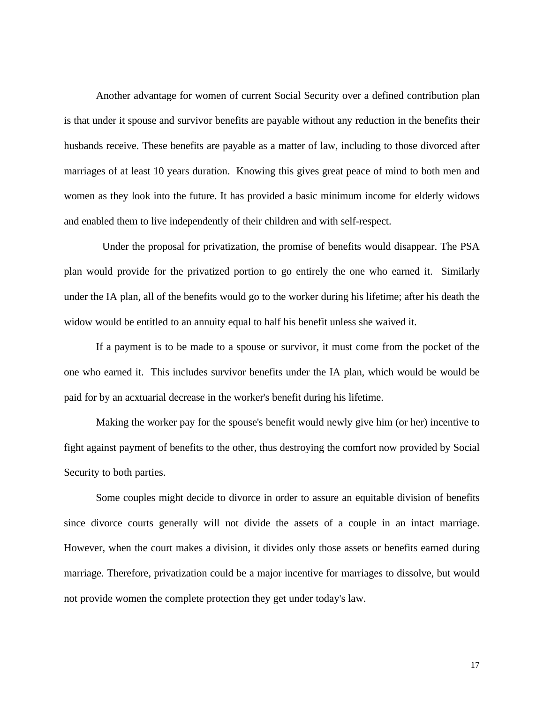Another advantage for women of current Social Security over a defined contribution plan is that under it spouse and survivor benefits are payable without any reduction in the benefits their husbands receive. These benefits are payable as a matter of law, including to those divorced after marriages of at least 10 years duration. Knowing this gives great peace of mind to both men and women as they look into the future. It has provided a basic minimum income for elderly widows and enabled them to live independently of their children and with self-respect.

 Under the proposal for privatization, the promise of benefits would disappear. The PSA plan would provide for the privatized portion to go entirely the one who earned it. Similarly under the IA plan, all of the benefits would go to the worker during his lifetime; after his death the widow would be entitled to an annuity equal to half his benefit unless she waived it.

If a payment is to be made to a spouse or survivor, it must come from the pocket of the one who earned it. This includes survivor benefits under the IA plan, which would be would be paid for by an acxtuarial decrease in the worker's benefit during his lifetime.

Making the worker pay for the spouse's benefit would newly give him (or her) incentive to fight against payment of benefits to the other, thus destroying the comfort now provided by Social Security to both parties.

Some couples might decide to divorce in order to assure an equitable division of benefits since divorce courts generally will not divide the assets of a couple in an intact marriage. However, when the court makes a division, it divides only those assets or benefits earned during marriage. Therefore, privatization could be a major incentive for marriages to dissolve, but would not provide women the complete protection they get under today's law.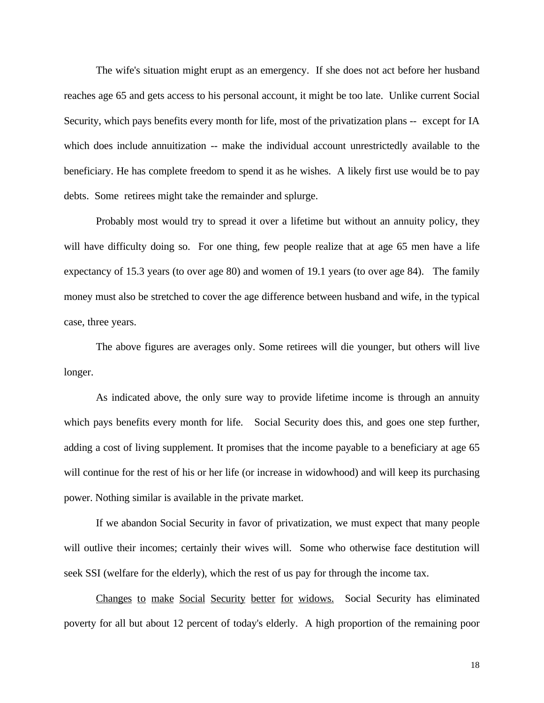The wife's situation might erupt as an emergency. If she does not act before her husband reaches age 65 and gets access to his personal account, it might be too late. Unlike current Social Security, which pays benefits every month for life, most of the privatization plans -- except for IA which does include annuitization -- make the individual account unrestrictedly available to the beneficiary. He has complete freedom to spend it as he wishes. A likely first use would be to pay debts. Some retirees might take the remainder and splurge.

Probably most would try to spread it over a lifetime but without an annuity policy, they will have difficulty doing so. For one thing, few people realize that at age 65 men have a life expectancy of 15.3 years (to over age 80) and women of 19.1 years (to over age 84). The family money must also be stretched to cover the age difference between husband and wife, in the typical case, three years.

The above figures are averages only. Some retirees will die younger, but others will live longer.

As indicated above, the only sure way to provide lifetime income is through an annuity which pays benefits every month for life. Social Security does this, and goes one step further, adding a cost of living supplement. It promises that the income payable to a beneficiary at age 65 will continue for the rest of his or her life (or increase in widowhood) and will keep its purchasing power. Nothing similar is available in the private market.

If we abandon Social Security in favor of privatization, we must expect that many people will outlive their incomes; certainly their wives will. Some who otherwise face destitution will seek SSI (welfare for the elderly), which the rest of us pay for through the income tax.

Changes to make Social Security better for widows. Social Security has eliminated poverty for all but about 12 percent of today's elderly. A high proportion of the remaining poor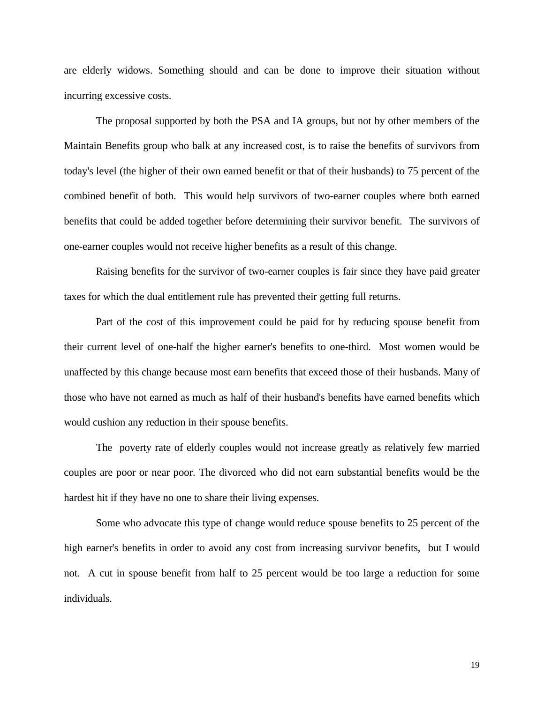are elderly widows. Something should and can be done to improve their situation without incurring excessive costs.

The proposal supported by both the PSA and IA groups, but not by other members of the Maintain Benefits group who balk at any increased cost, is to raise the benefits of survivors from today's level (the higher of their own earned benefit or that of their husbands) to 75 percent of the combined benefit of both. This would help survivors of two-earner couples where both earned benefits that could be added together before determining their survivor benefit. The survivors of one-earner couples would not receive higher benefits as a result of this change.

Raising benefits for the survivor of two-earner couples is fair since they have paid greater taxes for which the dual entitlement rule has prevented their getting full returns.

Part of the cost of this improvement could be paid for by reducing spouse benefit from their current level of one-half the higher earner's benefits to one-third. Most women would be unaffected by this change because most earn benefits that exceed those of their husbands. Many of those who have not earned as much as half of their husband's benefits have earned benefits which would cushion any reduction in their spouse benefits.

The poverty rate of elderly couples would not increase greatly as relatively few married couples are poor or near poor. The divorced who did not earn substantial benefits would be the hardest hit if they have no one to share their living expenses.

Some who advocate this type of change would reduce spouse benefits to 25 percent of the high earner's benefits in order to avoid any cost from increasing survivor benefits, but I would not. A cut in spouse benefit from half to 25 percent would be too large a reduction for some individuals.